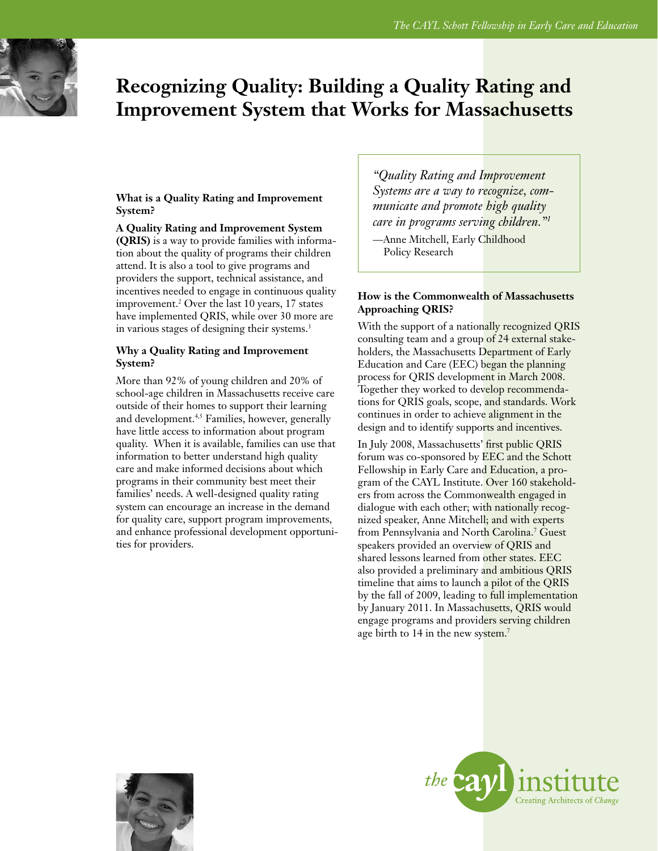

# **Recognizing Quality: Building a Quality Rating and Improvement System that Works for Massachusetts**

## **What is a Quality Rating and Improvement System?**

**A Quality Rating and Improvement System (QRIS)** is a way to provide families with information about the quality of programs their children attend. It is also a tool to give programs and providers the support, technical assistance, and incentives needed to engage in continuous quality improvement.2 Over the last 10 years, 17 states have implemented QRIS, while over 30 more are in various stages of designing their systems.<sup>3</sup>

## **Why a Quality Rating and Improvement System?**

More than 92% of young children and 20% of school-age children in Massachusetts receive care outside of their homes to support their learning and development.<sup>4,5</sup> Families, however, generally have little access to information about program quality. When it is available, families can use that information to better understand high quality care and make informed decisions about which programs in their community best meet their families' needs. A well-designed quality rating system can encourage an increase in the demand for quality care, support program improvements, and enhance professional development opportunities for providers.

*"Quality Rating and Improvement Systems are a way to recognize, communicate and promote high quality care in programs serving children."1* 

—Anne Mitchell, Early Childhood Policy Research

## **How is the Commonwealth of Massachusetts Approaching QRIS?**

With the support of a nationally recognized QRIS consulting team and a group of 24 external stakeholders, the Massachusetts Department of Early Education and Care (EEC) began the planning process for QRIS development in March 2008. Together they worked to develop recommendations for QRIS goals, scope, and standards. Work continues in order to achieve alignment in the design and to identify supports and incentives.

In July 2008, Massachusetts' first public QRIS forum was co-sponsored by EEC and the Schott Fellowship in Early Care and Education, a program of the CAYL Institute. Over 160 stakeholders from across the Commonwealth engaged in dialogue with each other; with nationally recognized speaker, Anne Mitchell; and with experts from Pennsylvania and North Carolina.<sup>7</sup> Guest speakers provided an overview of QRIS and shared lessons learned from other states. EEC also provided a preliminary and ambitious QRIS timeline that aims to launch a pilot of the QRIS by the fall of 2009, leading to full implementation by January 2011. In Massachusetts, QRIS would engage programs and providers serving children age birth to 14 in the new system.<sup>7</sup>



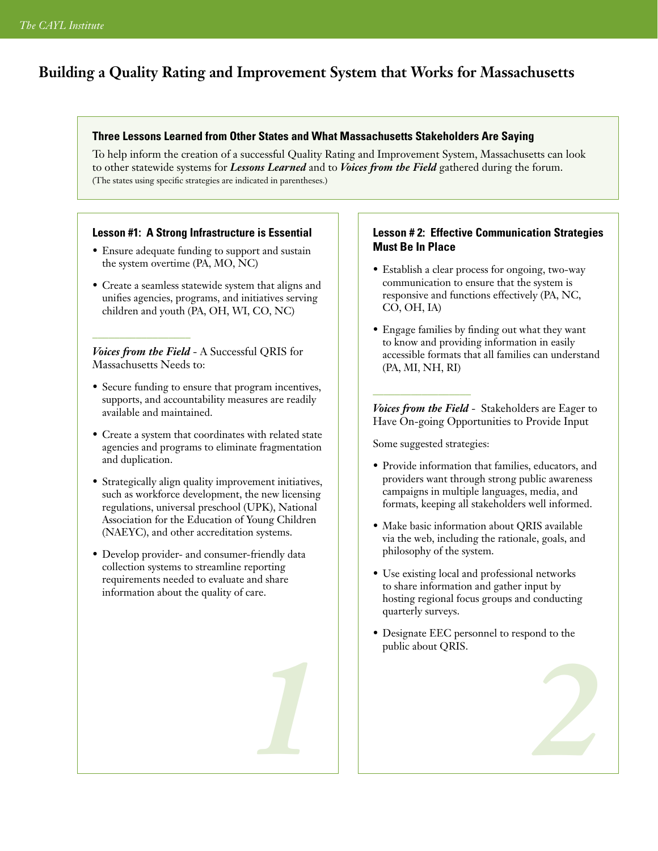## **Building a Quality Rating and Improvement System that Works for Massachusetts**

## **Three Lessons Learned from Other States and What Massachusetts Stakeholders Are Saying**

To help inform the creation of a successful Quality Rating and Improvement System, Massachusetts can look to other statewide systems for *Lessons Learned* and to *Voices from the Field* gathered during the forum. (The states using specific strategies are indicated in parentheses.)

## **Lesson #1: A Strong Infrastructure is Essential**

- Ensure adequate funding to support and sustain the system overtime (PA, MO, NC)
- Create a seamless statewide system that aligns and unifies agencies, programs, and initiatives serving children and youth (PA, OH, WI, CO, NC)

*Voices from the Field* - A Successful QRIS for Massachusetts Needs to:

\_\_\_\_\_\_\_\_\_\_\_\_\_\_\_\_\_\_

- Secure funding to ensure that program incentives, supports, and accountability measures are readily available and maintained.
- Create a system that coordinates with related state agencies and programs to eliminate fragmentation and duplication.
- Strategically align quality improvement initiatives, such as workforce development, the new licensing regulations, universal preschool (UPK), National Association for the Education of Young Children (NAEYC), and other accreditation systems.
- Develop provider- and consumer-friendly data collection systems to streamline reporting requirements needed to evaluate and share information about the quality of care.

## **Lesson # 2: Effective Communication Strategies Must Be In Place**

- Establish a clear process for ongoing, two-way communication to ensure that the system is responsive and functions effectively (PA, NC, CO, OH, IA)
- Engage families by finding out what they want to know and providing information in easily accessible formats that all families can understand (PA, MI, NH, RI)

*Voices from the Field* - Stakeholders are Eager to Have On-going Opportunities to Provide Input

Some suggested strategies:

\_\_\_\_\_\_\_\_\_\_\_\_\_\_\_\_\_\_

- Provide information that families, educators, and providers want through strong public awareness campaigns in multiple languages, media, and formats, keeping all stakeholders well informed.
- Make basic information about QRIS available via the web, including the rationale, goals, and philosophy of the system.
- Use existing local and professional networks to share information and gather input by hosting regional focus groups and conducting quarterly surveys.
- Designate EEC personnel to respond to the public about QRIS. *1 2*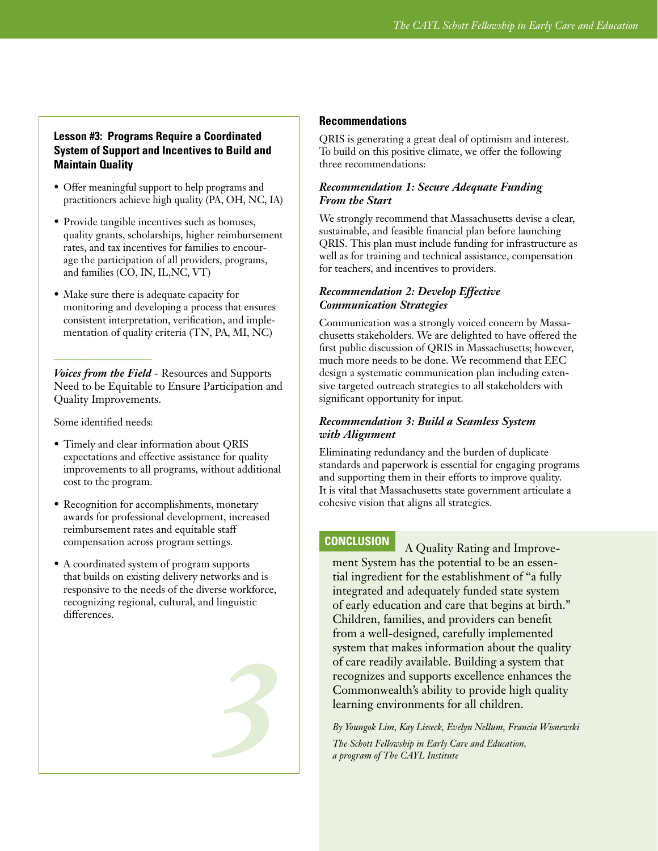## **Lesson #3: Programs Require a Coordinated System of Support and Incentives to Build and Maintain Quality**

- Offer meaningful support to help programs and practitioners achieve high quality (PA, OH, NC, IA)
- Provide tangible incentives such as bonuses, quality grants, scholarships, higher reimbursement rates, and tax incentives for families to encourage the participation of all providers, programs, and families (CO, IN, IL,NC, VT)
- Make sure there is adequate capacity for monitoring and developing a process that ensures consistent interpretation, verification, and implementation of quality criteria (TN, PA, MI, NC)

*Voices from the Field* - Resources and Supports Need to be Equitable to Ensure Participation and Quality Improvements.

Some identified needs:

\_\_\_\_\_\_\_\_\_\_\_\_\_\_\_\_\_\_

- Timely and clear information about QRIS expectations and effective assistance for quality improvements to all programs, without additional cost to the program.
- Recognition for accomplishments, monetary awards for professional development, increased reimbursement rates and equitable staff compensation across program settings.
- A coordinated system of program supports that builds on existing delivery networks and is responsive to the needs of the diverse workforce, recognizing regional, cultural, and linguistic differences.

# *3*

## **Recommendations**

QRIS is generating a great deal of optimism and interest. To build on this positive climate, we offer the following three recommendations:

## *Recommendation 1: Secure Adequate Funding From the Start*

We strongly recommend that Massachusetts devise a clear, sustainable, and feasible financial plan before launching QRIS. This plan must include funding for infrastructure as well as for training and technical assistance, compensation for teachers, and incentives to providers.

## *Recommendation 2: Develop Effective Communication Strategies*

Communication was a strongly voiced concern by Massachusetts stakeholders. We are delighted to have offered the first public discussion of QRIS in Massachusetts; however, much more needs to be done. We recommend that EEC design a systematic communication plan including extensive targeted outreach strategies to all stakeholders with significant opportunity for input.

## *Recommendation 3: Build a Seamless System with Alignment*

Eliminating redundancy and the burden of duplicate standards and paperwork is essential for engaging programs and supporting them in their efforts to improve quality. It is vital that Massachusetts state government articulate a cohesive vision that aligns all strategies.

## **CONCLUSION**

A Quality Rating and Improvement System has the potential to be an essential ingredient for the establishment of "a fully integrated and adequately funded state system of early education and care that begins at birth." Children, families, and providers can benefit from a well-designed, carefully implemented system that makes information about the quality of care readily available. Building a system that recognizes and supports excellence enhances the Commonwealth's ability to provide high quality learning environments for all children.

*By Youngok Lim, Kay Lisseck, Evelyn Nellum, Francia Wisnewski The Schott Fellowship in Early Care and Education, a program of The CAYL Institute*